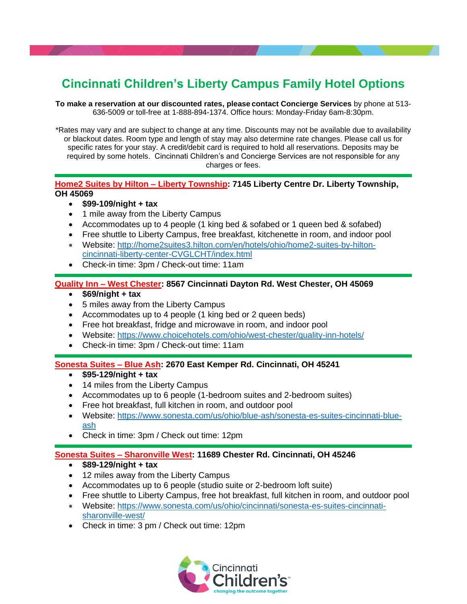# **Cincinnati Children's Liberty Campus Family Hotel Options**

**To make a reservation at our discounted rates, please contact Concierge Services** by phone at 513- 636-5009 or toll-free at 1-888-894-1374. Office hours: Monday-Friday 6am-8:30pm.

\*Rates may vary and are subject to change at any time. Discounts may not be available due to availability or blackout dates. Room type and length of stay may also determine rate changes. Please call us for specific rates for your stay. A credit/debit card is required to hold all reservations. Deposits may be required by some hotels. Cincinnati Children's and Concierge Services are not responsible for any charges or fees.

#### **Home2 Suites by Hilton – Liberty Township: 7145 Liberty Centre Dr. Liberty Township, OH 45069**

- **\$99-109/night + tax**
- 1 mile away from the Liberty Campus
- Accommodates up to 4 people (1 king bed & sofabed or 1 queen bed & sofabed)
- Free shuttle to Liberty Campus, free breakfast, kitchenette in room, and indoor pool
- Website: [http://home2suites3.hilton.com/en/hotels/ohio/home2-suites-by-hilton](http://home2suites3.hilton.com/en/hotels/ohio/home2-suites-by-hilton-cincinnati-liberty-center-CVGLCHT/index.html)[cincinnati-liberty-center-CVGLCHT/index.html](http://home2suites3.hilton.com/en/hotels/ohio/home2-suites-by-hilton-cincinnati-liberty-center-CVGLCHT/index.html)
- Check-in time: 3pm / Check-out time: 11am

## **Quality Inn – West Chester: 8567 Cincinnati Dayton Rd. West Chester, OH 45069**

- **\$69/night + tax**
- 5 miles away from the Liberty Campus
- Accommodates up to 4 people (1 king bed or 2 queen beds)
- Free hot breakfast, fridge and microwave in room, and indoor pool
- Website:<https://www.choicehotels.com/ohio/west-chester/quality-inn-hotels/>
- Check-in time: 3pm / Check-out time: 11am

#### **Sonesta Suites – Blue Ash: 2670 East Kemper Rd. Cincinnati, OH 45241**

- **\$95-129/night + tax**
- 14 miles from the Liberty Campus
- Accommodates up to 6 people (1-bedroom suites and 2-bedroom suites)
- Free hot breakfast, full kitchen in room, and outdoor pool
- Website: [https://www.sonesta.com/us/ohio/blue-ash/sonesta-es-suites-cincinnati-blue](https://www.sonesta.com/us/ohio/blue-ash/sonesta-es-suites-cincinnati-blue-ash)[ash](https://www.sonesta.com/us/ohio/blue-ash/sonesta-es-suites-cincinnati-blue-ash)
- Check in time: 3pm / Check out time: 12pm

#### **Sonesta Suites – Sharonville West: 11689 Chester Rd. Cincinnati, OH 45246**

- **\$89-129/night + tax**
- 12 miles away from the Liberty Campus
- Accommodates up to 6 people (studio suite or 2-bedroom loft suite)
- Free shuttle to Liberty Campus, free hot breakfast, full kitchen in room, and outdoor pool
- Website: [https://www.sonesta.com/us/ohio/cincinnati/sonesta-es-suites-cincinnati](https://www.sonesta.com/us/ohio/cincinnati/sonesta-es-suites-cincinnati-sharonville-west/)[sharonville-west/](https://www.sonesta.com/us/ohio/cincinnati/sonesta-es-suites-cincinnati-sharonville-west/)
- Check in time: 3 pm / Check out time: 12pm

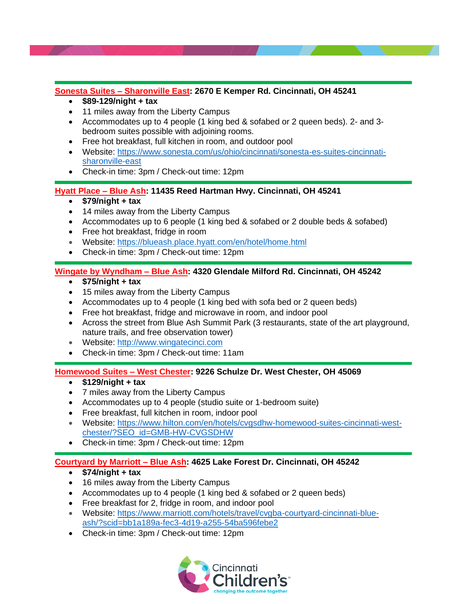## **Sonesta Suites – Sharonville East: 2670 E Kemper Rd. Cincinnati, OH 45241**

- **\$89-129/night + tax**
- 11 miles away from the Liberty Campus
- Accommodates up to 4 people (1 king bed & sofabed or 2 queen beds). 2- and 3 bedroom suites possible with adjoining rooms.
- Free hot breakfast, full kitchen in room, and outdoor pool
- Website: [https://www.sonesta.com/us/ohio/cincinnati/sonesta-es-suites-cincinnati](https://www.sonesta.com/us/ohio/cincinnati/sonesta-es-suites-cincinnati-sharonville-east)[sharonville-east](https://www.sonesta.com/us/ohio/cincinnati/sonesta-es-suites-cincinnati-sharonville-east)
- Check-in time: 3pm / Check-out time: 12pm

## **Hyatt Place – Blue Ash: 11435 Reed Hartman Hwy. Cincinnati, OH 45241**

- **\$79/night + tax**
- 14 miles away from the Liberty Campus
- Accommodates up to 6 people (1 king bed & sofabed or 2 double beds & sofabed)
- Free hot breakfast, fridge in room
- Website:<https://blueash.place.hyatt.com/en/hotel/home.html>
- Check-in time: 3pm / Check-out time: 12pm

## **Wingate by Wyndham – Blue Ash: 4320 Glendale Milford Rd. Cincinnati, OH 45242**

- **\$75/night + tax**
- 15 miles away from the Liberty Campus
- Accommodates up to 4 people (1 king bed with sofa bed or 2 queen beds)
- Free hot breakfast, fridge and microwave in room, and indoor pool
- Across the street from Blue Ash Summit Park (3 restaurants, state of the art playground, nature trails, and free observation tower)
- Website: [http://www.wingatecinci.com](http://www.wingatecinci.com/)
- Check-in time: 3pm / Check-out time: 11am

## **Homewood Suites – West Chester: 9226 Schulze Dr. West Chester, OH 45069**

- **\$129/night + tax**
- 7 miles away from the Liberty Campus
- Accommodates up to 4 people (studio suite or 1-bedroom suite)
- Free breakfast, full kitchen in room, indoor pool
- Website: [https://www.hilton.com/en/hotels/cvgsdhw-homewood-suites-cincinnati-west](https://www.hilton.com/en/hotels/cvgsdhw-homewood-suites-cincinnati-west-chester/?SEO_id=GMB-HW-CVGSDHW)[chester/?SEO\\_id=GMB-HW-CVGSDHW](https://www.hilton.com/en/hotels/cvgsdhw-homewood-suites-cincinnati-west-chester/?SEO_id=GMB-HW-CVGSDHW)
- Check-in time: 3pm / Check-out time: 12pm

# **Courtyard by Marriott – Blue Ash: 4625 Lake Forest Dr. Cincinnati, OH 45242**

- **\$74/night + tax**
- 16 miles away from the Liberty Campus
- Accommodates up to 4 people (1 king bed & sofabed or 2 queen beds)
- Free breakfast for 2, fridge in room, and indoor pool
- Website: [https://www.marriott.com/hotels/travel/cvgba-courtyard-cincinnati-blue](https://www.marriott.com/hotels/travel/cvgba-courtyard-cincinnati-blue-ash/?scid=bb1a189a-fec3-4d19-a255-54ba596febe2)[ash/?scid=bb1a189a-fec3-4d19-a255-54ba596febe2](https://www.marriott.com/hotels/travel/cvgba-courtyard-cincinnati-blue-ash/?scid=bb1a189a-fec3-4d19-a255-54ba596febe2)
- Check-in time: 3pm / Check-out time: 12pm